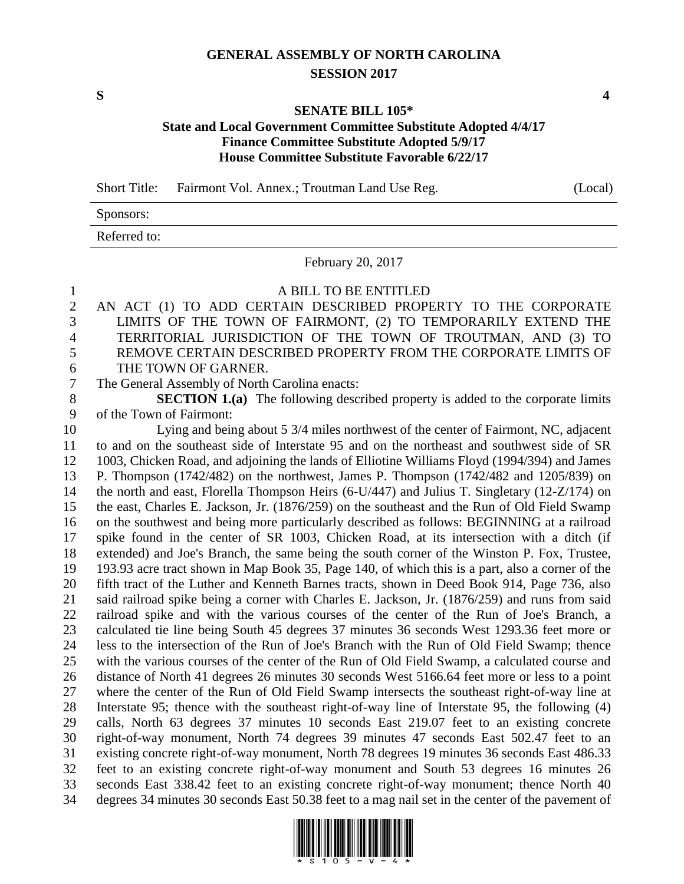## **GENERAL ASSEMBLY OF NORTH CAROLINA SESSION 2017**

**S 4**

## **SENATE BILL 105\***

## **State and Local Government Committee Substitute Adopted 4/4/17 Finance Committee Substitute Adopted 5/9/17 House Committee Substitute Favorable 6/22/17**

Short Title: Fairmont Vol. Annex.; Troutman Land Use Reg. (Local)

Sponsors:

Referred to:

February 20, 2017

A BILL TO BE ENTITLED

- AN ACT (1) TO ADD CERTAIN DESCRIBED PROPERTY TO THE CORPORATE LIMITS OF THE TOWN OF FAIRMONT, (2) TO TEMPORARILY EXTEND THE TERRITORIAL JURISDICTION OF THE TOWN OF TROUTMAN, AND (3) TO REMOVE CERTAIN DESCRIBED PROPERTY FROM THE CORPORATE LIMITS OF THE TOWN OF GARNER.
- The General Assembly of North Carolina enacts:

 **SECTION 1.(a)** The following described property is added to the corporate limits of the Town of Fairmont:

 Lying and being about 5 3/4 miles northwest of the center of Fairmont, NC, adjacent to and on the southeast side of Interstate 95 and on the northeast and southwest side of SR 1003, Chicken Road, and adjoining the lands of Elliotine Williams Floyd (1994/394) and James P. Thompson (1742/482) on the northwest, James P. Thompson (1742/482 and 1205/839) on the north and east, Florella Thompson Heirs (6-U/447) and Julius T. Singletary (12-Z/174) on the east, Charles E. Jackson, Jr. (1876/259) on the southeast and the Run of Old Field Swamp on the southwest and being more particularly described as follows: BEGINNING at a railroad spike found in the center of SR 1003, Chicken Road, at its intersection with a ditch (if extended) and Joe's Branch, the same being the south corner of the Winston P. Fox, Trustee, 193.93 acre tract shown in Map Book 35, Page 140, of which this is a part, also a corner of the fifth tract of the Luther and Kenneth Barnes tracts, shown in Deed Book 914, Page 736, also said railroad spike being a corner with Charles E. Jackson, Jr. (1876/259) and runs from said railroad spike and with the various courses of the center of the Run of Joe's Branch, a calculated tie line being South 45 degrees 37 minutes 36 seconds West 1293.36 feet more or less to the intersection of the Run of Joe's Branch with the Run of Old Field Swamp; thence with the various courses of the center of the Run of Old Field Swamp, a calculated course and distance of North 41 degrees 26 minutes 30 seconds West 5166.64 feet more or less to a point where the center of the Run of Old Field Swamp intersects the southeast right-of-way line at Interstate 95; thence with the southeast right-of-way line of Interstate 95, the following (4) calls, North 63 degrees 37 minutes 10 seconds East 219.07 feet to an existing concrete right-of-way monument, North 74 degrees 39 minutes 47 seconds East 502.47 feet to an existing concrete right-of-way monument, North 78 degrees 19 minutes 36 seconds East 486.33 feet to an existing concrete right-of-way monument and South 53 degrees 16 minutes 26 seconds East 338.42 feet to an existing concrete right-of-way monument; thence North 40 degrees 34 minutes 30 seconds East 50.38 feet to a mag nail set in the center of the pavement of